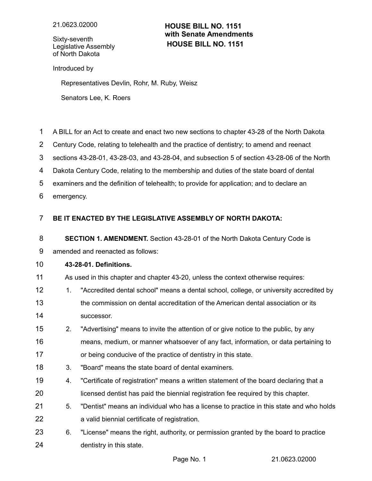Sixty-seventh Legislative Assembly of North Dakota

## **HOUSE BILL NO. 1151 HOUSE BILL NO. 1151 with Senate Amendments**

Introduced by

Representatives Devlin, Rohr, M. Ruby, Weisz

Senators Lee, K. Roers

- A BILL for an Act to create and enact two new sections to chapter 43-28 of the North Dakota 1
- Century Code, relating to telehealth and the practice of dentistry; to amend and reenact 2
- sections 43-28-01, 43-28-03, and 43-28-04, and subsection 5 of section 43-28-06 of the North 3
- Dakota Century Code, relating to the membership and duties of the state board of dental 4
- examiners and the definition of telehealth; to provide for application; and to declare an 5
- emergency. 6

## **BE IT ENACTED BY THE LEGISLATIVE ASSEMBLY OF NORTH DAKOTA:** 7

**SECTION 1. AMENDMENT.** Section 43-28-01 of the North Dakota Century Code is 8

amended and reenacted as follows: 9

## **43-28-01. Definitions.** 10

- As used in this chapter and chapter 43-20, unless the context otherwise requires: 11
- 1. "Accredited dental school" means a dental school, college, or university accredited by the commission on dental accreditation of the American dental association or its successor. 12 13 14
- 2. "Advertising" means to invite the attention of or give notice to the public, by any means, medium, or manner whatsoever of any fact, information, or data pertaining to or being conducive of the practice of dentistry in this state. 15 16 17
- 3. "Board" means the state board of dental examiners. 18
- 4. "Certificate of registration" means a written statement of the board declaring that a licensed dentist has paid the biennial registration fee required by this chapter. 19 20
- 5. "Dentist" means an individual who has a license to practice in this state and who holds a valid biennial certificate of registration. 21 22
- 6. "License" means the right, authority, or permission granted by the board to practice dentistry in this state. 23 24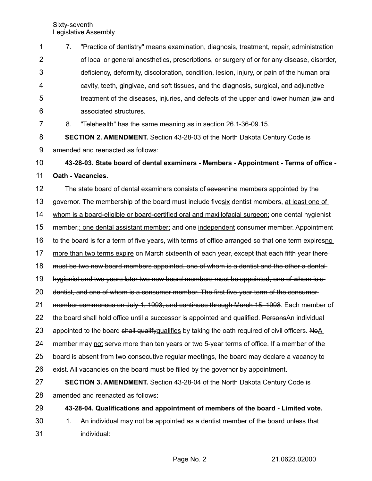| 1              | 7.                                                                                                  | "Practice of dentistry" means examination, diagnosis, treatment, repair, administration     |  |  |  |  |  |
|----------------|-----------------------------------------------------------------------------------------------------|---------------------------------------------------------------------------------------------|--|--|--|--|--|
| $\overline{2}$ |                                                                                                     | of local or general anesthetics, prescriptions, or surgery of or for any disease, disorder, |  |  |  |  |  |
| 3              | deficiency, deformity, discoloration, condition, lesion, injury, or pain of the human oral          |                                                                                             |  |  |  |  |  |
| 4              |                                                                                                     | cavity, teeth, gingivae, and soft tissues, and the diagnosis, surgical, and adjunctive      |  |  |  |  |  |
| 5              |                                                                                                     | treatment of the diseases, injuries, and defects of the upper and lower human jaw and       |  |  |  |  |  |
| 6              |                                                                                                     | associated structures.                                                                      |  |  |  |  |  |
| 7              | <u>8.</u>                                                                                           | "Telehealth" has the same meaning as in section 26.1-36-09.15.                              |  |  |  |  |  |
| 8              |                                                                                                     | <b>SECTION 2. AMENDMENT.</b> Section 43-28-03 of the North Dakota Century Code is           |  |  |  |  |  |
| 9              | amended and reenacted as follows:                                                                   |                                                                                             |  |  |  |  |  |
| 10             | 43-28-03. State board of dental examiners - Members - Appointment - Terms of office -               |                                                                                             |  |  |  |  |  |
| 11             | Oath - Vacancies.                                                                                   |                                                                                             |  |  |  |  |  |
| 12             | The state board of dental examiners consists of sevenning members appointed by the                  |                                                                                             |  |  |  |  |  |
| 13             | governor. The membership of the board must include fivesix dentist members, at least one of         |                                                                                             |  |  |  |  |  |
| 14             | whom is a board-eligible or board-certified oral and maxillofacial surgeon; one dental hygienist    |                                                                                             |  |  |  |  |  |
| 15             | member <sub>7</sub> ; one dental assistant member; and one independent consumer member. Appointment |                                                                                             |  |  |  |  |  |
| 16             | to the board is for a term of five years, with terms of office arranged so that one term expires no |                                                                                             |  |  |  |  |  |
| 17             | more than two terms expire on March sixteenth of each year, except that each fifth year there-      |                                                                                             |  |  |  |  |  |
| 18             | must be two new board members appointed, one of whom is a dentist and the other a dental-           |                                                                                             |  |  |  |  |  |
| 19             | hygienist and two years later two new board members must be appointed, one of whom is a             |                                                                                             |  |  |  |  |  |
| 20             | dentist, and one of whom is a consumer member. The first five-year term of the consumer-            |                                                                                             |  |  |  |  |  |
| 21             | member commences on July 1, 1993, and continues through March 15, 1998. Each member of              |                                                                                             |  |  |  |  |  |
| 22             | the board shall hold office until a successor is appointed and qualified. PersonsAn individual      |                                                                                             |  |  |  |  |  |
| 23             | appointed to the board shall qualifyqualifies by taking the oath required of civil officers. NoA    |                                                                                             |  |  |  |  |  |
| 24             | member may not serve more than ten years or two 5-year terms of office. If a member of the          |                                                                                             |  |  |  |  |  |
| 25             | board is absent from two consecutive regular meetings, the board may declare a vacancy to           |                                                                                             |  |  |  |  |  |
| 26             | exist. All vacancies on the board must be filled by the governor by appointment.                    |                                                                                             |  |  |  |  |  |
| 27             |                                                                                                     | <b>SECTION 3. AMENDMENT.</b> Section 43-28-04 of the North Dakota Century Code is           |  |  |  |  |  |
| 28             | amended and reenacted as follows:                                                                   |                                                                                             |  |  |  |  |  |
| 29             |                                                                                                     | 43-28-04. Qualifications and appointment of members of the board - Limited vote.            |  |  |  |  |  |
| 30             | 1.                                                                                                  | An individual may not be appointed as a dentist member of the board unless that             |  |  |  |  |  |
| 31             |                                                                                                     | individual:                                                                                 |  |  |  |  |  |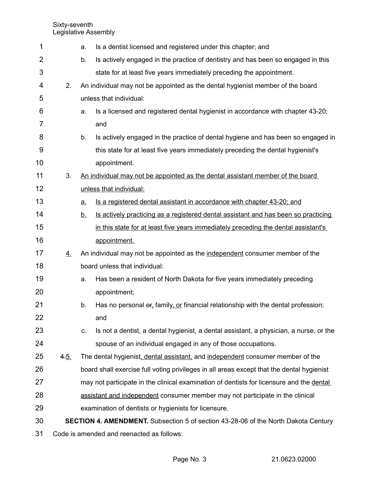| 1              |                                           | a.                                                                                        | Is a dentist licensed and registered under this chapter; and                              |  |  |  |
|----------------|-------------------------------------------|-------------------------------------------------------------------------------------------|-------------------------------------------------------------------------------------------|--|--|--|
| $\overline{2}$ |                                           | b.                                                                                        | Is actively engaged in the practice of dentistry and has been so engaged in this          |  |  |  |
| 3              |                                           |                                                                                           | state for at least five years immediately preceding the appointment.                      |  |  |  |
| 4              | 2.                                        |                                                                                           | An individual may not be appointed as the dental hygienist member of the board            |  |  |  |
| 5              |                                           |                                                                                           | unless that individual:                                                                   |  |  |  |
| 6              |                                           | a.                                                                                        | Is a licensed and registered dental hygienist in accordance with chapter 43-20;           |  |  |  |
| 7              |                                           |                                                                                           | and                                                                                       |  |  |  |
| 8              |                                           | b.                                                                                        | Is actively engaged in the practice of dental hygiene and has been so engaged in          |  |  |  |
| 9              |                                           |                                                                                           | this state for at least five years immediately preceding the dental hygienist's           |  |  |  |
| 10             |                                           |                                                                                           | appointment.                                                                              |  |  |  |
| 11             | 3.                                        |                                                                                           | An individual may not be appointed as the dental assistant member of the board            |  |  |  |
| 12             |                                           |                                                                                           | unless that individual:                                                                   |  |  |  |
| 13             |                                           | $\underline{a}$ .                                                                         | <u>Is a registered dental assistant in accordance with chapter 43-20; and</u>             |  |  |  |
| 14             |                                           | <u>b.</u>                                                                                 | Is actively practicing as a registered dental assistant and has been so practicing        |  |  |  |
| 15             |                                           |                                                                                           | in this state for at least five years immediately preceding the dental assistant's        |  |  |  |
| 16             |                                           |                                                                                           | appointment.                                                                              |  |  |  |
| 17             | 4.                                        |                                                                                           | An individual may not be appointed as the independent consumer member of the              |  |  |  |
| 18             |                                           |                                                                                           | board unless that individual:                                                             |  |  |  |
| 19             |                                           | a.                                                                                        | Has been a resident of North Dakota for five years immediately preceding                  |  |  |  |
| 20             |                                           |                                                                                           | appointment;                                                                              |  |  |  |
| 21             |                                           | b.                                                                                        | Has no personal $er_1$ family, or financial relationship with the dental profession;      |  |  |  |
| 22             |                                           |                                                                                           | and                                                                                       |  |  |  |
| 23             |                                           | C.                                                                                        | Is not a dentist, a dental hygienist, a dental assistant, a physician, a nurse, or the    |  |  |  |
| 24             |                                           |                                                                                           | spouse of an individual engaged in any of those occupations.                              |  |  |  |
| 25             | 4.5.                                      |                                                                                           | The dental hygienist, dental assistant, and independent consumer member of the            |  |  |  |
| 26             |                                           |                                                                                           | board shall exercise full voting privileges in all areas except that the dental hygienist |  |  |  |
| 27             |                                           |                                                                                           | may not participate in the clinical examination of dentists for licensure and the dental  |  |  |  |
| 28             |                                           |                                                                                           | assistant and independent consumer member may not participate in the clinical             |  |  |  |
| 29             |                                           |                                                                                           | examination of dentists or hygienists for licensure.                                      |  |  |  |
| 30             |                                           | <b>SECTION 4. AMENDMENT.</b> Subsection 5 of section 43-28-06 of the North Dakota Century |                                                                                           |  |  |  |
| 31             | Code is amended and reenacted as follows: |                                                                                           |                                                                                           |  |  |  |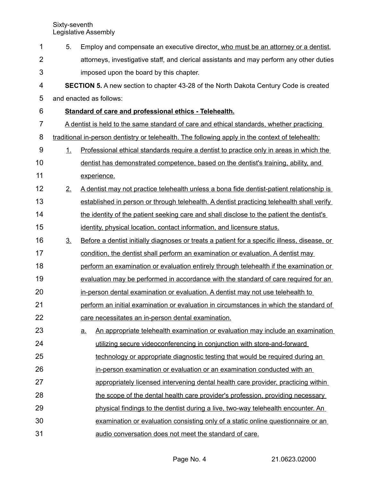| 1  | 5.                                                                                    |                                                                                          | Employ and compensate an executive director, who must be an attorney or a dentist,               |  |  |  |  |
|----|---------------------------------------------------------------------------------------|------------------------------------------------------------------------------------------|--------------------------------------------------------------------------------------------------|--|--|--|--|
| 2  |                                                                                       |                                                                                          | attorneys, investigative staff, and clerical assistants and may perform any other duties         |  |  |  |  |
| 3  | imposed upon the board by this chapter.                                               |                                                                                          |                                                                                                  |  |  |  |  |
| 4  | SECTION 5. A new section to chapter 43-28 of the North Dakota Century Code is created |                                                                                          |                                                                                                  |  |  |  |  |
| 5  |                                                                                       | and enacted as follows:                                                                  |                                                                                                  |  |  |  |  |
| 6  |                                                                                       |                                                                                          | Standard of care and professional ethics - Telehealth.                                           |  |  |  |  |
| 7  |                                                                                       | A dentist is held to the same standard of care and ethical standards, whether practicing |                                                                                                  |  |  |  |  |
| 8  |                                                                                       |                                                                                          | traditional in-person dentistry or telehealth. The following apply in the context of telehealth: |  |  |  |  |
| 9  | 1.                                                                                    |                                                                                          | Professional ethical standards require a dentist to practice only in areas in which the          |  |  |  |  |
| 10 |                                                                                       |                                                                                          | dentist has demonstrated competence, based on the dentist's training, ability, and               |  |  |  |  |
| 11 |                                                                                       |                                                                                          | experience.                                                                                      |  |  |  |  |
| 12 | 2.                                                                                    |                                                                                          | A dentist may not practice telehealth unless a bona fide dentist-patient relationship is         |  |  |  |  |
| 13 |                                                                                       |                                                                                          | established in person or through telehealth. A dentist practicing telehealth shall verify        |  |  |  |  |
| 14 |                                                                                       |                                                                                          | the identity of the patient seeking care and shall disclose to the patient the dentist's         |  |  |  |  |
| 15 |                                                                                       |                                                                                          | identity, physical location, contact information, and licensure status.                          |  |  |  |  |
| 16 | <u>3.</u>                                                                             |                                                                                          | Before a dentist initially diagnoses or treats a patient for a specific illness, disease, or     |  |  |  |  |
| 17 |                                                                                       |                                                                                          | condition, the dentist shall perform an examination or evaluation. A dentist may                 |  |  |  |  |
| 18 |                                                                                       |                                                                                          | perform an examination or evaluation entirely through telehealth if the examination or           |  |  |  |  |
| 19 |                                                                                       |                                                                                          | evaluation may be performed in accordance with the standard of care required for an              |  |  |  |  |
| 20 |                                                                                       |                                                                                          | in-person dental examination or evaluation. A dentist may not use telehealth to                  |  |  |  |  |
| 21 |                                                                                       |                                                                                          | perform an initial examination or evaluation in circumstances in which the standard of           |  |  |  |  |
| 22 |                                                                                       |                                                                                          | care necessitates an in-person dental examination.                                               |  |  |  |  |
| 23 |                                                                                       | <u>a.</u>                                                                                | An appropriate telehealth examination or evaluation may include an examination                   |  |  |  |  |
| 24 |                                                                                       |                                                                                          | utilizing secure videoconferencing in conjunction with store-and-forward                         |  |  |  |  |
| 25 |                                                                                       |                                                                                          | technology or appropriate diagnostic testing that would be required during an                    |  |  |  |  |
| 26 |                                                                                       |                                                                                          | in-person examination or evaluation or an examination conducted with an                          |  |  |  |  |
| 27 |                                                                                       |                                                                                          | appropriately licensed intervening dental health care provider, practicing within                |  |  |  |  |
| 28 |                                                                                       |                                                                                          | the scope of the dental health care provider's profession, providing necessary                   |  |  |  |  |
| 29 |                                                                                       |                                                                                          | physical findings to the dentist during a live, two-way telehealth encounter. An                 |  |  |  |  |
| 30 |                                                                                       |                                                                                          | examination or evaluation consisting only of a static online questionnaire or an                 |  |  |  |  |
| 31 |                                                                                       |                                                                                          | audio conversation does not meet the standard of care.                                           |  |  |  |  |